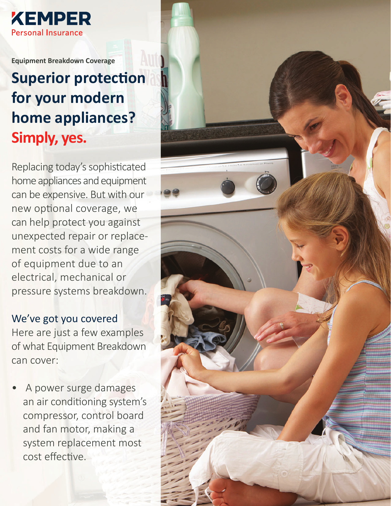

**Equipment Breakdown Coverage**

# **Superior protection for your modern home appliances? Simply, yes.**

Replacing today's sophisticated home appliances and equipment can be expensive. But with our new optional coverage, we can help protect you against unexpected repair or replacement costs for a wide range of equipment due to an electrical, mechanical or pressure systems breakdown.

### We've got you covered

Here are just a few examples of what Equipment Breakdown can cover:

• A power surge damages an air conditioning system's compressor, control board and fan motor, making a system replacement most cost effective.